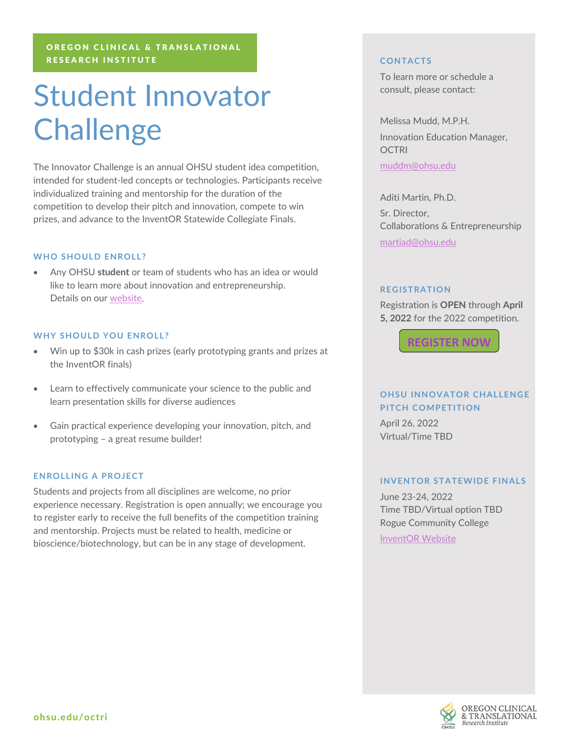## OREGON CLINICAL & TRANSLATIONAL RESEARCH INSTITUTE

# Student Innovator **Challenge**

The Innovator Challenge is an annual OHSU student idea competition, intended for student-led concepts or technologies. Participants receive individualized training and mentorship for the duration of the competition to develop their pitch and innovation, compete to win prizes, and advance to the InventOR Statewide Collegiate Finals.

## **WHO SHOULD ENROLL?**

• Any OHSU **student** or team of students who has an idea or would like to learn more about innovation and entrepreneurship. Details on our [website.](https://www.ohsu.edu/octri/innovation-and-entrepreneurship)

### **WHY SHOULD YOU ENROLL?**

- Win up to \$30k in cash prizes (early prototyping grants and prizes at the InventOR finals)
- Learn to effectively communicate your science to the public and learn presentation skills for diverse audiences
- Gain practical experience developing your innovation, pitch, and prototyping – a great resume builder!

### **ENROLLING A PROJECT**

Students and projects from all disciplines are welcome, no prior experience necessary. Registration is open annually; we encourage you to register early to receive the full benefits of the competition training and mentorship. Projects must be related to health, medicine or bioscience/biotechnology, but can be in any stage of development.

### **CONTACTS**

To learn more or schedule a consult, please contact:

Melissa Mudd, M.P.H. Innovation Education Manager, **OCTRI** 

[muddm@ohsu.edu](mailto:muddm@ohsu.edu)

Aditi Martin, Ph.D. Sr. Director, Collaborations & Entrepreneurship [martiad@ohsu.edu](mailto:martiad@ohsu.edu)

#### **REGISTRATION**

Registration is **OPEN** through **April 5, 2022** for the 2022 competition.



# **OHSU INNOVATOR CHALLENGE PITCH COMPETITION**

April 26, 2022 Virtual/Time TBD

#### **INVENTOR STATEWIDE FINALS**

June 23-24, 2022 Time TBD/Virtual option TBD Rogue Community College [InventOR Website](https://www.inventoregon.org/)